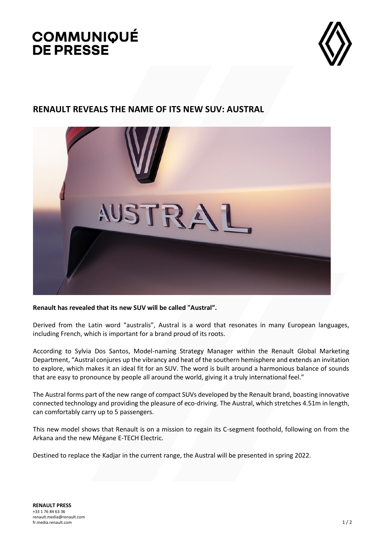## **COMMUNIQUÉ DE PRESSE**



## **RENAULT REVEALS THE NAME OF ITS NEW SUV: AUSTRAL**



**Renault has revealed that its new SUV will be called "Austral".**

Derived from the Latin word "australis", Austral is a word that resonates in many European languages, including French, which is important for a brand proud of its roots.

According to Sylvia Dos Santos, Model-naming Strategy Manager within the Renault Global Marketing Department, "Austral conjures up the vibrancy and heat of the southern hemisphere and extends an invitation to explore, which makes it an ideal fit for an SUV. The word is built around a harmonious balance of sounds that are easy to pronounce by people all around the world, giving it a truly international feel."

The Austral forms part of the new range of compact SUVs developed by the Renault brand, boasting innovative connected technology and providing the pleasure of eco-driving. The Austral, which stretches 4.51m in length, can comfortably carry up to 5 passengers.

This new model shows that Renault is on a mission to regain its C-segment foothold, following on from the Arkana and the new Mégane E-TECH Electric.

Destined to replace the Kadjar in the current range, the Austral will be presented in spring 2022.